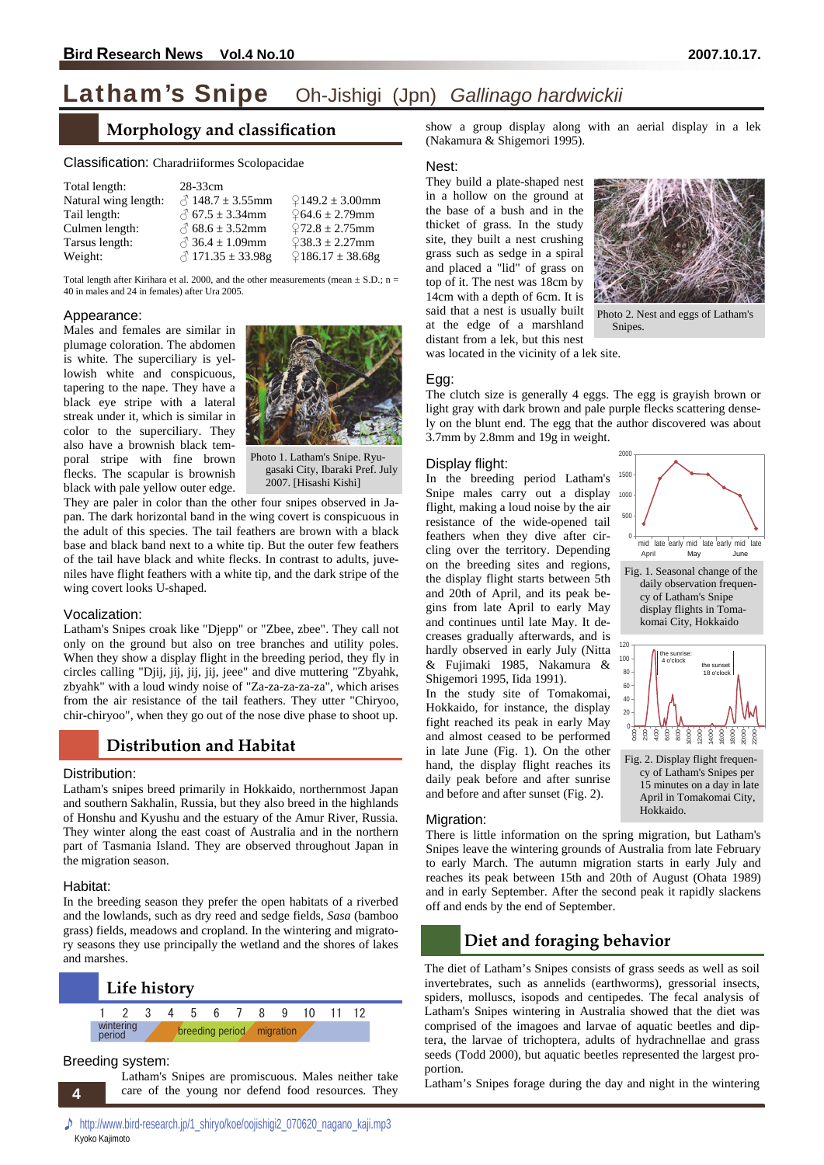## Latham's Snipe Oh-Jishigi (Jpn) *Gallinago hardwickii*

### **Morphology and classification**

| Total length:        | 28-33cm                      |                      |
|----------------------|------------------------------|----------------------|
| Natural wing length: | $\sqrt{2}$ 148.7 ± 3.55mm    | $2149.2 \pm 3.00$ mm |
| Tail length:         | $\sqrt{67.5} \pm 3.34$ mm    | $264.6 \pm 2.79$ mm  |
| Culmen length:       | $\delta$ 68.6 ± 3.52mm       | $272.8 \pm 2.75$ mm  |
| Tarsus length:       | $\sqrt{3}$ 36.4 $\pm$ 1.09mm | $238.3 \pm 2.27$ mm  |
| Weight:              | $\sqrt{2}$ 171.35 ± 33.98g   | $9186.17 \pm 38.68g$ |

Total length after Kirihara et al. 2000, and the other measurements (mean  $\pm$  S.D.; n = 40 in males and 24 in females) after Ura 2005.

#### Appearance:

**Classification:** Charadriiformes Scolopacidae<br>
Total length:  $\frac{3}{2}$  33:00<br>
Total length:  $\frac{3}{2}$  148.7 ± 3.55mm  $\frac{6}{2}$  Tail length:  $\frac{3}{2}$  148.7 ± 3.55mm  $\frac{6}{2}$  Culmen length:  $\frac{3}{2}$  68.5 ± 3.34mm  $\frac{6}{$ Males and females are similar in plumage coloration. The abdomen is white. The superciliary is yellowish white and conspicuous, tapering to the nape. They have a black eye stripe with a lateral streak under it, which is similar in color to the superciliary. They also have a brownish black temporal stripe with fine brown flecks. The scapular is brownish black with pale yellow outer edge.



Photo 1. Latham's Snipe. Ryugasaki City, Ibaraki Pref. July 2007. [Hisashi Kishi]

They are paler in color than the other four snipes observed in Japan. The dark horizontal band in the wing covert is conspicuous in the adult of this species. The tail feathers are brown with a black base and black band next to a white tip. But the outer few feathers of the tail have black and white flecks. In contrast to adults, juveniles have flight feathers with a white tip, and the dark stripe of the wing covert looks U-shaped.

#### Vocalization:

Latham's Snipes croak like "Djepp" or "Zbee, zbee". They call not only on the ground but also on tree branches and utility poles. When they show a display flight in the breeding period, they fly in circles calling "Djij, jij, jij, jij, jeee" and dive muttering "Zbyahk, zbyahk" with a loud windy noise of "Za-za-za-za-za", which arises from the air resistance of the tail feathers. They utter "Chiryoo, chir-chiryoo", when they go out of the nose dive phase to shoot up.

#### **Distribution and Habitat**

#### Distribution:

Latham's snipes breed primarily in Hokkaido, northernmost Japan and southern Sakhalin, Russia, but they also breed in the highlands of Honshu and Kyushu and the estuary of the Amur River, Russia. They winter along the east coast of Australia and in the northern part of Tasmania Island. They are observed throughout Japan in the migration season.

#### Habitat:

In the breeding season they prefer the open habitats of a riverbed and the lowlands, such as dry reed and sedge fields, *Sasa* (bamboo grass) fields, meadows and cropland. In the wintering and migratory seasons they use principally the wetland and the shores of lakes and marshes.



#### Breeding system:

Latham's Snipes are promiscuous. Males neither take care of the young nor defend food resources. They show a group display along with an aerial display in a lek (Nakamura & Shigemori 1995).

#### Nest:

They build a plate-shaped nest in a hollow on the ground at the base of a bush and in the thicket of grass. In the study site, they built a nest crushing grass such as sedge in a spiral and placed a "lid" of grass on top of it. The nest was 18cm by 14cm with a depth of 6cm. It is said that a nest is usually built at the edge of a marshland distant from a lek, but this nest



Photo 2. Nest and eggs of Latham's Snipes.

was located in the vicinity of a lek site.

#### Egg:

The clutch size is generally 4 eggs. The egg is grayish brown or light gray with dark brown and pale purple flecks scattering densely on the blunt end. The egg that the author discovered was about 3.7mm by 2.8mm and 19g in weight.

#### Display flight:

In the breeding period Latham's Snipe males carry out a display flight, making a loud noise by the air resistance of the wide-opened tail feathers when they dive after circling over the territory. Depending on the breeding sites and regions, the display flight starts between 5th and 20th of April, and its peak begins from late April to early May and continues until late May. It decreases gradually afterwards, and is hardly observed in early July (Nitta & Fujimaki 1985, Nakamura & Shigemori 1995, Iida 1991).

In the study site of Tomakomai, Hokkaido, for instance, the display fight reached its peak in early May and almost ceased to be performed in late June (Fig. 1). On the other hand, the display flight reaches its daily peak before and after sunrise and before and after sunset (Fig. 2).



April in Tomakomai City,

Hokkaido.

Migration:

There is little information on the spring migration, but Latham's Snipes leave the wintering grounds of Australia from late February to early March. The autumn migration starts in early July and reaches its peak between 15th and 20th of August (Ohata 1989) and in early September. After the second peak it rapidly slackens off and ends by the end of September.

## **Diet and foraging behavior**

The diet of Latham's Snipes consists of grass seeds as well as soil invertebrates, such as annelids (earthworms), gressorial insects, spiders, molluscs, isopods and centipedes. The fecal analysis of Latham's Snipes wintering in Australia showed that the diet was comprised of the imagoes and larvae of aquatic beetles and diptera, the larvae of trichoptera, adults of hydrachnellae and grass seeds (Todd 2000), but aquatic beetles represented the largest proportion.

Latham's Snipes forage during the day and night in the wintering